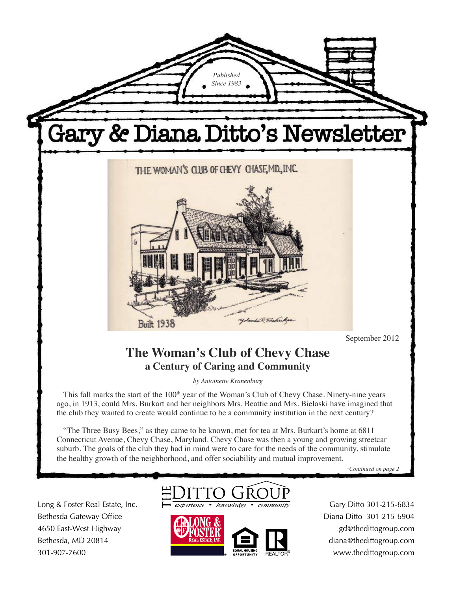

Long & Foster Real Estate, Inc. Bethesda Gateway Office 4650 East-West Highway Bethesda, MD 20814 301-907-7600



 $k$ nowledg



Gary Ditto 301-215-6834 Diana Ditto 301-215-6904 gd@thedittogroup.com diana@thedittogroup.com www.thedittogroup.com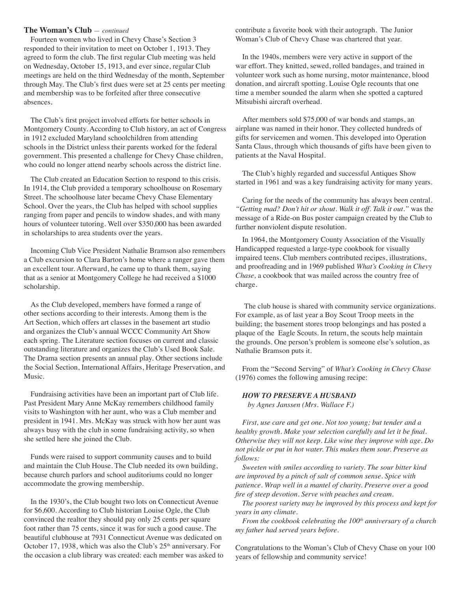### **The Woman's Club** — *continued*

Fourteen women who lived in Chevy Chase's Section 3 responded to their invitation to meet on October 1, 1913. They agreed to form the club. The first regular Club meeting was held on Wednesday, October 15, 1913, and ever since, regular Club meetings are held on the third Wednesday of the month, September through May. The Club's first dues were set at 25 cents per meeting and membership was to be forfeited after three consecutive absences.

The Club's first project involved efforts for better schools in Montgomery County. According to Club history, an act of Congress in 1912 excluded Maryland schoolchildren from attending schools in the District unless their parents worked for the federal government. This presented a challenge for Chevy Chase children, who could no longer attend nearby schools across the district line.

The Club created an Education Section to respond to this crisis. In 1914, the Club provided a temporary schoolhouse on Rosemary Street. The schoolhouse later became Chevy Chase Elementary School. Over the years, the Club has helped with school supplies ranging from paper and pencils to window shades, and with many hours of volunteer tutoring. Well over \$350,000 has been awarded in scholarships to area students over the years.

Incoming Club Vice President Nathalie Bramson also remembers a Club excursion to Clara Barton's home where a ranger gave them an excellent tour. Afterward, he came up to thank them, saying that as a senior at Montgomery College he had received a \$1000 scholarship.

As the Club developed, members have formed a range of other sections according to their interests. Among them is the Art Section, which offers art classes in the basement art studio and organizes the Club's annual WCCC Community Art Show each spring. The Literature section focuses on current and classic outstanding literature and organizes the Club's Used Book Sale. The Drama section presents an annual play. Other sections include the Social Section, International Affairs, Heritage Preservation, and Music.

Fundraising activities have been an important part of Club life. Past President Mary Anne McKay remembers childhood family visits to Washington with her aunt, who was a Club member and president in 1941. Mrs. McKay was struck with how her aunt was always busy with the club in some fundraising activity, so when she settled here she joined the Club.

Funds were raised to support community causes and to build and maintain the Club House. The Club needed its own building, because church parlors and school auditoriums could no longer accommodate the growing membership.

In the 1930's, the Club bought two lots on Connecticut Avenue for \$6,600. According to Club historian Louise Ogle, the Club convinced the realtor they should pay only 25 cents per square foot rather than 75 cents, since it was for such a good cause. The beautiful clubhouse at 7931 Connecticut Avenue was dedicated on October 17, 1938, which was also the Club's  $25<sup>th</sup>$  anniversary. For the occasion a club library was created: each member was asked to contribute a favorite book with their autograph. The Junior Woman's Club of Chevy Chase was chartered that year.

In the 1940s, members were very active in support of the war effort. They knitted, sewed, rolled bandages, and trained in volunteer work such as home nursing, motor maintenance, blood donation, and aircraft spotting. Louise Ogle recounts that one time a member sounded the alarm when she spotted a captured Mitsubishi aircraft overhead.

After members sold \$75,000 of war bonds and stamps, an airplane was named in their honor. They collected hundreds of gifts for servicemen and women. This developed into Operation Santa Claus, through which thousands of gifts have been given to patients at the Naval Hospital.

The Club's highly regarded and successful Antiques Show started in 1961 and was a key fundraising activity for many years.

Caring for the needs of the community has always been central. *"Getting mad? Don't hit or shout. Walk it off. Talk it out."* was the message of a Ride-on Bus poster campaign created by the Club to further nonviolent dispute resolution.

In 1964, the Montgomery County Association of the Visually Handicapped requested a large-type cookbook for visually impaired teens. Club members contributed recipes, illustrations, and proofreading and in 1969 published *What's Cooking in Chevy Chase,* a cookbook that was mailed across the country free of charge.

The club house is shared with community service organizations. For example, as of last year a Boy Scout Troop meets in the building; the basement stores troop belongings and has posted a plaque of the Eagle Scouts. In return, the scouts help maintain the grounds. One person's problem is someone else's solution, as Nathalie Bramson puts it.

From the "Second Serving" of *What's Cooking in Chevy Chase* (1976) comes the following amusing recipe:

#### *HOW TO PRESERVE A HUSBAND*

 *by Agnes Janssen (Mrs. Wallace F.)*

*First, use care and get one. Not too young; but tender and a healthy growth. Make your selection carefully and let it be final. Otherwise they will not keep. Like wine they improve with age. Do not pickle or put in hot water. This makes them sour. Preserve as follows:*

*Sweeten with smiles according to variety. The sour bitter kind are improved by a pinch of salt of common sense. Spice with patience. Wrap well in a mantel of charity. Preserve over a good fire of steep devotion. Serve with peaches and cream.*

*The poorest variety may be improved by this process and kept for years in any climate.*

*From the cookbook celebrating the 100<sup>th</sup> anniversary of a church my father had served years before.*

Congratulations to the Woman's Club of Chevy Chase on your 100 years of fellowship and community service!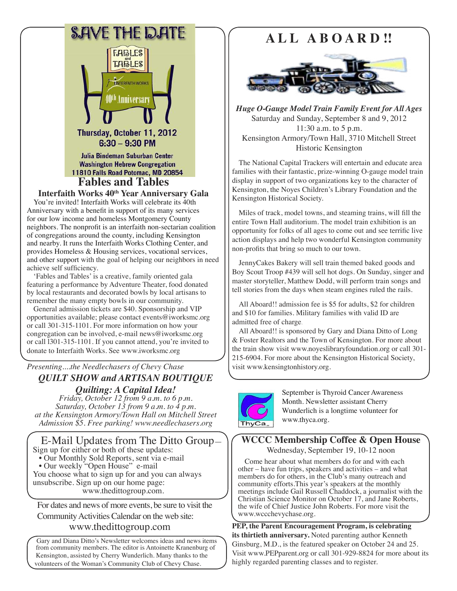

**Fables and Tables** 

**Interfaith Works 40th Year Anniversary Gala**

You're invited! Interfaith Works will celebrate its 40th Anniversary with a benefit in support of its many services for our low income and homeless Montgomery County neighbors. The nonprofit is an interfaith non-sectarian coalition of congregations around the county, including Kensington and nearby. It runs the Interfaith Works Clothing Center, and provides Homeless & Housing services, vocational services, and other support with the goal of helping our neighbors in need achieve self sufficiency.

'Fables and Tables' is a creative, family oriented gala featuring a performance by Adventure Theater, food donated by local restaurants and decorated bowls by local artisans to remember the many empty bowls in our community.

General admission tickets are \$40. Sponsorship and VIP opportunities available; please contact events@iworksmc.org or call 301-315-1101. For more information on how your congregation can be involved, e-mail news@iworksmc.org or call l301-315-1101. If you cannot attend, you're invited to donate to Interfaith Works. See www.iworksmc.org

## *Presenting....the Needlechasers of Chevy Chase QUILT SHOW and ARTISAN BOUTIQUE Quilting: A Capital Idea!*

*Friday, October 12 from 9 a.m. to 6 p.m. Saturday, October 13 from 9 a.m. to 4 p.m. at the Kensington Armory/Town Hall on Mitchell Street Admission \$5. Free parking! www.needlechasers.org*

 E-Mail Updates from The Ditto Group— Sign up for either or both of these updates: • Our Monthly Sold Reports, sent via e-mail • Our weekly "Open House" e-mail You choose what to sign up for and you can always unsubscribe. Sign up on our home page: www.thedittogroup.com.

For dates and news of more events, be sure to visit the Community Activities Calendar on the web site: www.thedittogroup.com

Gary and Diana Ditto's Newsletter welcomes ideas and news items from community members. The editor is Antoinette Kranenburg of Kensington, assisted by Cherry Wunderlich. Many thanks to the volunteers of the Woman's Community Club of Chevy Chase.

# **A L L A B O A R D !!**



*Huge O-Gauge Model Train Family Event for All Ages* Saturday and Sunday, September 8 and 9, 2012 11:30 a.m. to 5 p.m. Kensington Armory/Town Hall, 3710 Mitchell Street Historic Kensington

The National Capital Trackers will entertain and educate area families with their fantastic, prize-winning O-gauge model train display in support of two organizations key to the character of Kensington, the Noyes Children's Library Foundation and the Kensington Historical Society.

Miles of track, model towns, and steaming trains, will fill the entire Town Hall auditorium. The model train exhibition is an opportunity for folks of all ages to come out and see terrific live action displays and help two wonderful Kensington community non-profits that bring so much to our town.

JennyCakes Bakery will sell train themed baked goods and Boy Scout Troop #439 will sell hot dogs. On Sunday, singer and master storyteller, Matthew Dodd, will perform train songs and tell stories from the days when steam engines ruled the rails.

All Aboard!! admission fee is \$5 for adults, \$2 for children and \$10 for families. Military families with valid ID are admitted free of charge.

All Aboard!! is sponsored by Gary and Diana Ditto of Long & Foster Realtors and the Town of Kensington. For more about the train show visit www.noyeslibraryfoundation.org or call 301- 215-6904. For more about the Kensington Historical Society, visit www.kensingtonhistory.org.



September is Thyroid Cancer Awareness Month. Newsletter assistant Cherry Wunderlich is a longtime volunteer for www.thyca.org.

**WCCC Membership Coffee & Open House** Wednesday, September 19, 10-12 noon

Come hear about what members do for and with each other – have fun trips, speakers and activities – and what members do for others, in the Club's many outreach and community efforts.This year's speakers at the monthly meetings include Gail Russell Chaddock, a journalist with the Christian Science Monitor on October 17, and Jane Roberts, the wife of Chief Justice John Roberts. For more visit the www.wccchevychase.org.

**PEP, the Parent Encouragement Program, is celebrating its thirtieth anniversary.** Noted parenting author Kenneth Ginsburg, M.D., is the featured speaker on October 24 and 25. Visit www.PEPparent.org or call 301-929-8824 for more about its highly regarded parenting classes and to register.